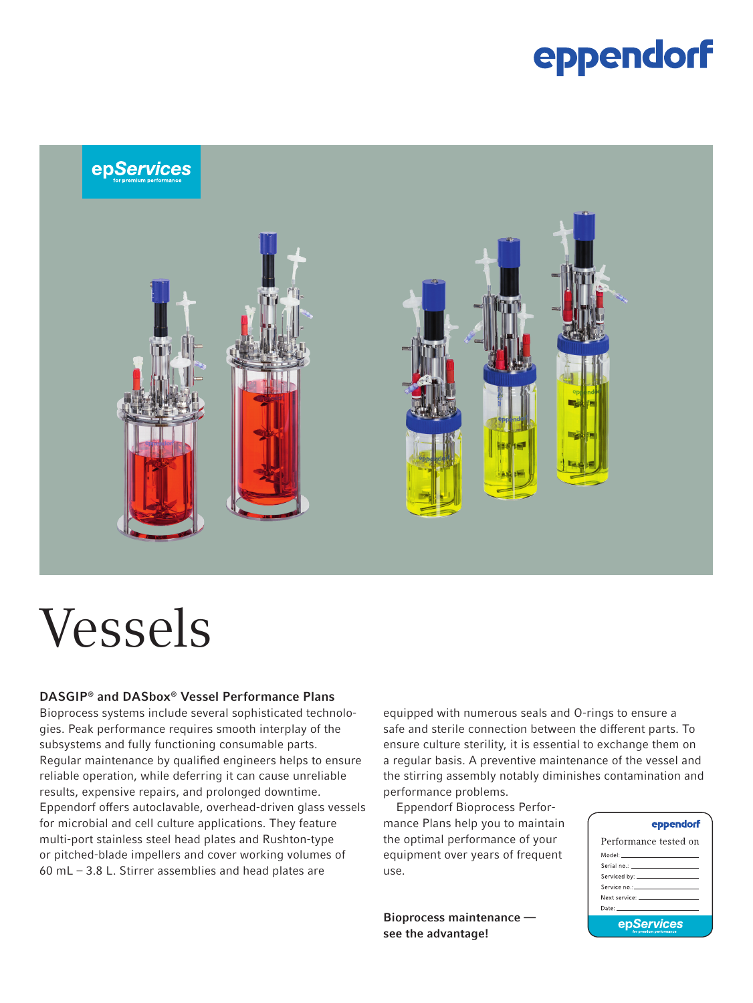### eppendorf



# Vessels

#### DASGIP® and DASbox® Vessel Performance Plans

Bioprocess systems include several sophisticated technologies. Peak performance requires smooth interplay of the subsystems and fully functioning consumable parts. Regular maintenance by qualified engineers helps to ensure reliable operation, while deferring it can cause unreliable results, expensive repairs, and prolonged downtime. Eppendorf offers autoclavable, overhead-driven glass vessels for microbial and cell culture applications. They feature multi-port stainless steel head plates and Rushton-type or pitched-blade impellers and cover working volumes of 60 mL – 3.8 L. Stirrer assemblies and head plates are

equipped with numerous seals and O-rings to ensure a safe and sterile connection between the different parts. To ensure culture sterility, it is essential to exchange them on a regular basis. A preventive maintenance of the vessel and the stirring assembly notably diminishes contamination and performance problems.

Eppendorf Bioprocess Performance Plans help you to maintain the optimal performance of your equipment over years of frequent use.

Bioprocess maintenance see the advantage!

#### eppendorf

| Performance tested on                                                                                                                                                                                                         |  |  |  |  |  |
|-------------------------------------------------------------------------------------------------------------------------------------------------------------------------------------------------------------------------------|--|--|--|--|--|
| Model: _______________________                                                                                                                                                                                                |  |  |  |  |  |
|                                                                                                                                                                                                                               |  |  |  |  |  |
|                                                                                                                                                                                                                               |  |  |  |  |  |
| Service no.: ______________________                                                                                                                                                                                           |  |  |  |  |  |
| Next service: The contract of the contract of the contract of the contract of the contract of the contract of the contract of the contract of the contract of the contract of the contract of the contract of the contract of |  |  |  |  |  |
| Date: ________________________                                                                                                                                                                                                |  |  |  |  |  |
| epServices                                                                                                                                                                                                                    |  |  |  |  |  |